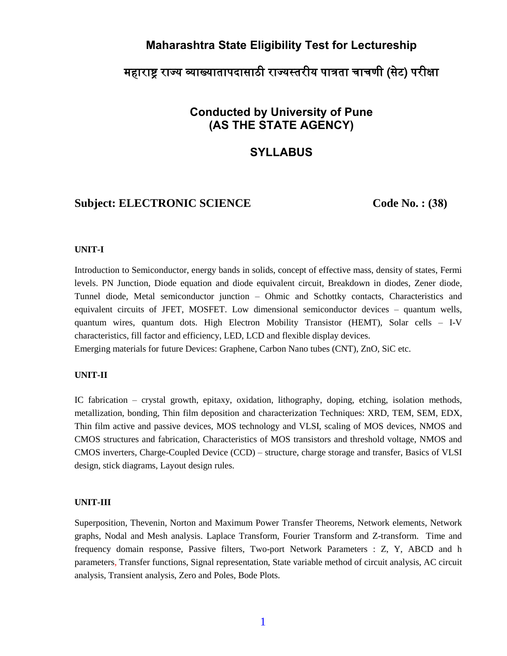## **Maharashtra State Eligibility Test for Lectureship**

# महाराष्ट्र राज्य व्याख्यातापदासाठी राज्यस्तरीय पात्रता चाचणी (सेट) परीक्षा

# **Conducted by University of Pune (AS THE STATE AGENCY)**

### **SYLLABUS**

## **Subject: ELECTRONIC SCIENCE** Code No. : (38)

#### **UNIT-I**

Introduction to Semiconductor, energy bands in solids, concept of effective mass, density of states, Fermi levels. PN Junction, Diode equation and diode equivalent circuit, Breakdown in diodes, Zener diode, Tunnel diode, Metal semiconductor junction – Ohmic and Schottky contacts, Characteristics and equivalent circuits of JFET, MOSFET. Low dimensional semiconductor devices – quantum wells, quantum wires, quantum dots. High Electron Mobility Transistor (HEMT), Solar cells – I-V characteristics, fill factor and efficiency, LED, LCD and flexible display devices. Emerging materials for future Devices: Graphene, Carbon Nano tubes (CNT), ZnO, SiC etc.

# **UNIT-II**

IC fabrication – crystal growth, epitaxy, oxidation, lithography, doping, etching, isolation methods, metallization, bonding, Thin film deposition and characterization Techniques: XRD, TEM, SEM, EDX, Thin film active and passive devices, MOS technology and VLSI, scaling of MOS devices, NMOS and CMOS structures and fabrication, Characteristics of MOS transistors and threshold voltage, NMOS and CMOS inverters, Charge-Coupled Device (CCD) – structure, charge storage and transfer, Basics of VLSI design, stick diagrams, Layout design rules.

#### **UNIT-III**

Superposition, Thevenin, Norton and Maximum Power Transfer Theorems, Network elements, Network graphs, Nodal and Mesh analysis. Laplace Transform, Fourier Transform and Z-transform. Time and frequency domain response, Passive filters, Two-port Network Parameters : Z, Y, ABCD and h parameters, Transfer functions, Signal representation, State variable method of circuit analysis, AC circuit analysis, Transient analysis, Zero and Poles, Bode Plots.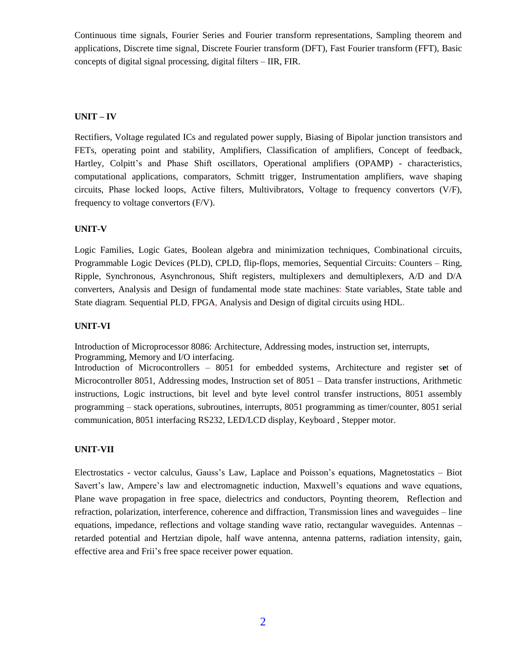Continuous time signals, Fourier Series and Fourier transform representations, Sampling theorem and applications, Discrete time signal, Discrete Fourier transform (DFT), Fast Fourier transform (FFT), Basic concepts of digital signal processing, digital filters – IIR, FIR.

#### **UNIT – IV**

Rectifiers, Voltage regulated ICs and regulated power supply, Biasing of Bipolar junction transistors and FETs, operating point and stability, Amplifiers, Classification of amplifiers, Concept of feedback, Hartley, Colpitt's and Phase Shift oscillators, Operational amplifiers (OPAMP) - characteristics, computational applications, comparators, Schmitt trigger, Instrumentation amplifiers, wave shaping circuits, Phase locked loops, Active filters, Multivibrators, Voltage to frequency convertors (V/F), frequency to voltage convertors (F/V).

#### **UNIT-V**

Logic Families, Logic Gates, Boolean algebra and minimization techniques, Combinational circuits, Programmable Logic Devices (PLD), CPLD, flip-flops, memories, Sequential Circuits: Counters – Ring, Ripple, Synchronous, Asynchronous, Shift registers, multiplexers and demultiplexers, A/D and D/A converters, Analysis and Design of fundamental mode state machines: State variables, State table and State diagram. Sequential PLD, FPGA, Analysis and Design of digital circuits using HDL.

#### **UNIT-VI**

Introduction of Microprocessor 8086: Architecture, Addressing modes, instruction set, interrupts,

Programming, Memory and I/O interfacing.

Introduction of Microcontrollers – 8051 for embedded systems, Architecture and register s**e**t of Microcontroller 8051, Addressing modes, Instruction set of 8051 – Data transfer instructions, Arithmetic instructions, Logic instructions, bit level and byte level control transfer instructions, 8051 assembly programming – stack operations, subroutines, interrupts, 8051 programming as timer/counter, 8051 serial communication, 8051 interfacing RS232, LED/LCD display, Keyboard , Stepper motor.

### **UNIT-VII**

Electrostatics - vector calculus, Gauss's Law, Laplace and Poisson's equations, Magnetostatics – Biot Savert's law, Ampere's law and electromagnetic induction, Maxwell's equations and wave equations, Plane wave propagation in free space, dielectrics and conductors, Poynting theorem, Reflection and refraction, polarization, interference, coherence and diffraction, Transmission lines and waveguides – line equations, impedance, reflections and voltage standing wave ratio, rectangular waveguides. Antennas – retarded potential and Hertzian dipole, half wave antenna, antenna patterns, radiation intensity, gain, effective area and Frii's free space receiver power equation.